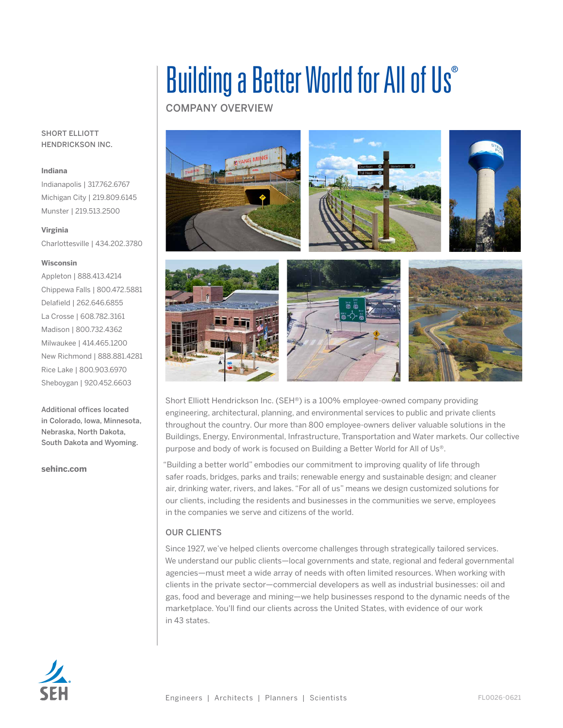# Building a Better World for All of Us®

COMPANY OVERVIEW



Short Elliott Hendrickson Inc. (SEH®) is a 100% employee-owned company providing engineering, architectural, planning, and environmental services to public and private clients throughout the country. Our more than 800 employee-owners deliver valuable solutions in the Buildings, Energy, Environmental, Infrastructure, Transportation and Water markets. Our collective purpose and body of work is focused on Building a Better World for All of Us®.

"Building a better world" embodies our commitment to improving quality of life through safer roads, bridges, parks and trails; renewable energy and sustainable design; and cleaner air, drinking water, rivers, and lakes. "For all of us" means we design customized solutions for our clients, including the residents and businesses in the communities we serve, employees in the companies we serve and citizens of the world.

## OUR CLIENTS

Since 1927, we've helped clients overcome challenges through strategically tailored services. We understand our public clients—local governments and state, regional and federal governmental agencies—must meet a wide array of needs with often limited resources. When working with clients in the private sector—commercial developers as well as industrial businesses: oil and gas, food and beverage and mining—we help businesses respond to the dynamic needs of the marketplace. You'll find our clients across the United States, with evidence of our work in 43 states.



#### SHORT ELLIOTT HENDRICKSON INC.

#### **Indiana**

Indianapolis | 317.762.6767 Michigan City | 219.809.6145 Munster | 219.513.2500

#### **Virginia**

Charlottesville | 434.202.3780

#### **Wisconsin**

Appleton | 888.413.4214 Chippewa Falls | 800.472.5881 Delafield | 262.646.6855 La Crosse | 608.782.3161 Madison | 800.732.4362 Milwaukee | 414.465.1200 New Richmond | 888.881.4281 Rice Lake | 800.903.6970 Sheboygan | 920.452.6603

Additional offices located in Colorado, Iowa, Minnesota, Nebraska, North Dakota, South Dakota and Wyoming.

#### **sehinc.com**